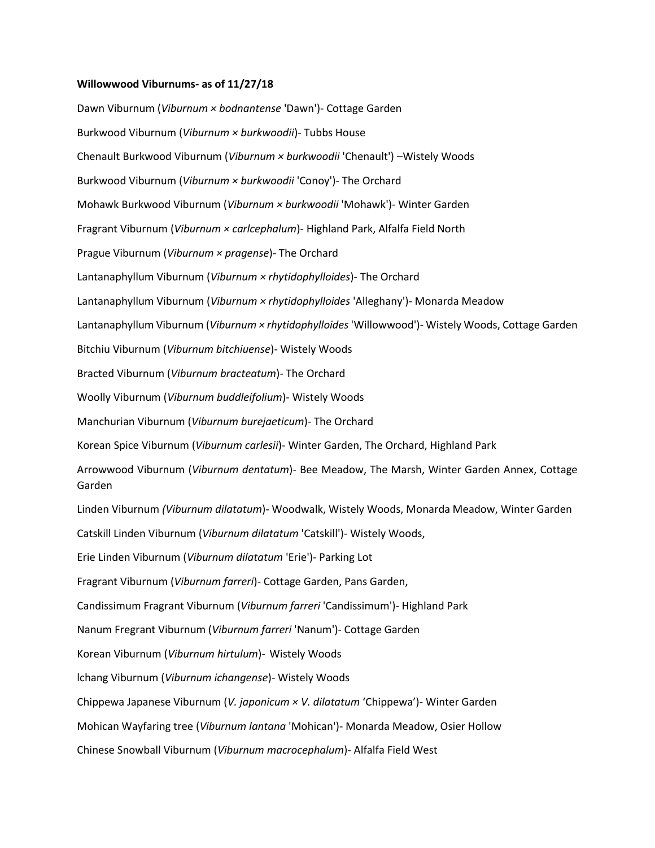## **Willowwood Viburnums- as of 11/27/18**

Dawn Viburnum (*Viburnum × bodnantense* 'Dawn')- Cottage Garden Burkwood Viburnum (*Viburnum × burkwoodii*)- Tubbs House Chenault Burkwood Viburnum (*Viburnum × burkwoodii* 'Chenault') –Wistely Woods Burkwood Viburnum (*Viburnum × burkwoodii* 'Conoy')- The Orchard Mohawk Burkwood Viburnum (*Viburnum × burkwoodii* 'Mohawk')- Winter Garden Fragrant Viburnum (*Viburnum × carlcephalum*)- Highland Park, Alfalfa Field North Prague Viburnum (*Viburnum × pragense*)- The Orchard Lantanaphyllum Viburnum (*Viburnum × rhytidophylloides*)- The Orchard Lantanaphyllum Viburnum (*Viburnum × rhytidophylloides* 'Alleghany')- Monarda Meadow Lantanaphyllum Viburnum (*Viburnum × rhytidophylloides* 'Willowwood')- Wistely Woods, Cottage Garden Bitchiu Viburnum (*Viburnum bitchiuense*)- Wistely Woods Bracted Viburnum (*Viburnum bracteatum*)- The Orchard Woolly Viburnum (*Viburnum buddleifolium*)- Wistely Woods Manchurian Viburnum (*Viburnum burejaeticum*)- The Orchard Korean Spice Viburnum (*Viburnum carlesii*)- Winter Garden, The Orchard, Highland Park Arrowwood Viburnum (*Viburnum dentatum*)- Bee Meadow, The Marsh, Winter Garden Annex, Cottage Garden Linden Viburnum *(Viburnum dilatatum*)- Woodwalk, Wistely Woods, Monarda Meadow, Winter Garden Catskill Linden Viburnum (*Viburnum dilatatum* 'Catskill')- Wistely Woods, Erie Linden Viburnum (*Viburnum dilatatum* 'Erie')- Parking Lot Fragrant Viburnum (*Viburnum farreri*)- Cottage Garden, Pans Garden, Candissimum Fragrant Viburnum (*Viburnum farreri* 'Candissimum')- Highland Park Nanum Fregrant Viburnum (*Viburnum farreri* 'Nanum')- Cottage Garden Korean Viburnum (*Viburnum hirtulum*)- Wistely Woods lchang Viburnum (*Viburnum ichangense*)- Wistely Woods Chippewa Japanese Viburnum (*V. japonicum × V. dilatatum* 'Chippewa')- Winter Garden Mohican Wayfaring tree (*Viburnum lantana* 'Mohican')- Monarda Meadow, Osier Hollow Chinese Snowball Viburnum (*Viburnum macrocephalum*)- Alfalfa Field West